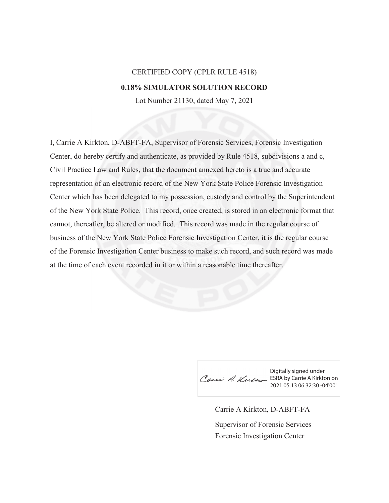## CERTIFIED COPY (CPLR RULE 4518) **0.18% SIMULATOR SOLUTION RECORD**

Lot Number 21130, dated May 7, 2021

I, Carrie A Kirkton, D-ABFT-FA, Supervisor of Forensic Services, Forensic Investigation Center, do hereby certify and authenticate, as provided by Rule 4518, subdivisions a and c, Civil Practice Law and Rules, that the document annexed hereto is a true and accurate representation of an electronic record of the New York State Police Forensic Investigation Center which has been delegated to my possession, custody and control by the Superintendent of the New York State Police. This record, once created, is stored in an electronic format that cannot, thereafter, be altered or modified. This record was made in the regular course of business of the New York State Police Forensic Investigation Center, it is the regular course of the Forensic Investigation Center business to make such record, and such record was made at the time of each event recorded in it or within a reasonable time thereafter.

Digitally signed under Cauci A. Kurste ESRA by Carrie A Kirkton on 2021.05.13 06:32:30 -04'00'

Carrie A Kirkton, D-ABFT-FA Forensic Investigation Center Supervisor of Forensic Services